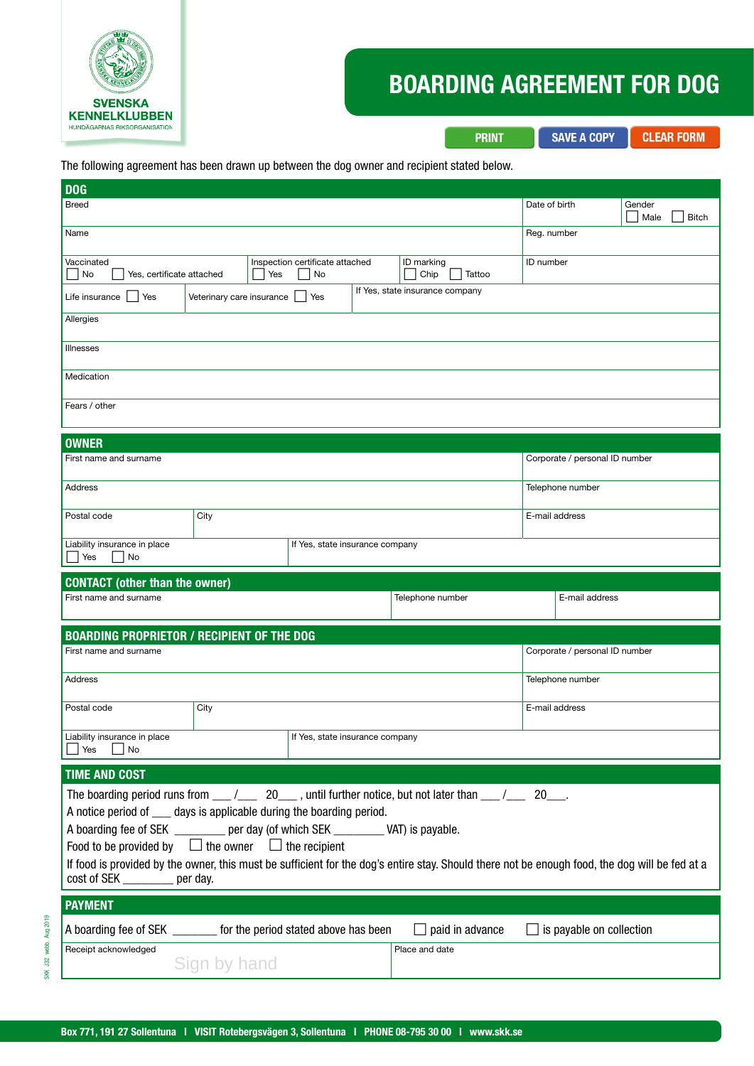

# BOARDING AGREEMENT FOR DOG

**SAVE A COPY** 

**PRINT** 

**CLEAR FORM** 

| D <sub>OG</sub>                                                                             |                           |                                       |                                                                                                                                                |                                     |                                |  |  |
|---------------------------------------------------------------------------------------------|---------------------------|---------------------------------------|------------------------------------------------------------------------------------------------------------------------------------------------|-------------------------------------|--------------------------------|--|--|
| <b>Breed</b>                                                                                |                           |                                       |                                                                                                                                                | Date of birth                       | Gender<br>Male<br><b>Bitch</b> |  |  |
| Name                                                                                        |                           |                                       |                                                                                                                                                | Reg. number                         |                                |  |  |
| Vaccinated<br>  No<br>Yes, certificate attached                                             | Yes                       | Inspection certificate attached<br>No | ID marking<br>Chip<br>Tattoo                                                                                                                   | ID number                           |                                |  |  |
| Life insurance<br>  Yes                                                                     | Veterinary care insurance | Yes                                   | If Yes, state insurance company                                                                                                                |                                     |                                |  |  |
| Allergies                                                                                   |                           |                                       |                                                                                                                                                |                                     |                                |  |  |
| <b>Illnesses</b>                                                                            |                           |                                       |                                                                                                                                                |                                     |                                |  |  |
| Medication                                                                                  |                           |                                       |                                                                                                                                                |                                     |                                |  |  |
| Fears / other                                                                               |                           |                                       |                                                                                                                                                |                                     |                                |  |  |
| <b>OWNER</b>                                                                                |                           |                                       |                                                                                                                                                |                                     |                                |  |  |
| First name and surname                                                                      |                           |                                       |                                                                                                                                                | Corporate / personal ID number      |                                |  |  |
| <b>Address</b>                                                                              |                           |                                       |                                                                                                                                                | Telephone number                    |                                |  |  |
| Postal code                                                                                 | City                      |                                       |                                                                                                                                                | E-mail address                      |                                |  |  |
| Liability insurance in place<br>Yes<br>No                                                   |                           | If Yes, state insurance company       |                                                                                                                                                |                                     |                                |  |  |
|                                                                                             |                           |                                       |                                                                                                                                                |                                     |                                |  |  |
|                                                                                             |                           |                                       |                                                                                                                                                |                                     |                                |  |  |
| <b>CONTACT</b> (other than the owner)<br>First name and surname                             |                           |                                       | Telephone number                                                                                                                               | E-mail address                      |                                |  |  |
|                                                                                             |                           |                                       |                                                                                                                                                |                                     |                                |  |  |
| <b>BOARDING PROPRIETOR / RECIPIENT OF THE DOG</b><br>First name and surname                 |                           |                                       |                                                                                                                                                | Corporate / personal ID number      |                                |  |  |
| Address                                                                                     |                           |                                       |                                                                                                                                                | Telephone number                    |                                |  |  |
| Postal code                                                                                 | City                      |                                       |                                                                                                                                                | E-mail address                      |                                |  |  |
| Liability insurance in place                                                                |                           | If Yes, state insurance company       |                                                                                                                                                |                                     |                                |  |  |
| $\Box$ No<br>$\Box$ Yes                                                                     |                           |                                       |                                                                                                                                                |                                     |                                |  |  |
| <b>TIME AND COST</b>                                                                        |                           |                                       |                                                                                                                                                |                                     |                                |  |  |
| A notice period of _____ days is applicable during the boarding period.                     |                           |                                       | The boarding period runs from $\frac{1}{2}$ 20 $\frac{1}{2}$ , until further notice, but not later than $\frac{1}{2}$ 20 $\frac{1}{2}$         |                                     |                                |  |  |
| A boarding fee of SEK ________ per day (of which SEK ________ VAT) is payable.              |                           |                                       |                                                                                                                                                |                                     |                                |  |  |
| Food to be provided by $\Box$ the owner $\Box$ the recipient                                |                           |                                       |                                                                                                                                                |                                     |                                |  |  |
| cost of SEK ________ per day.                                                               |                           |                                       | If food is provided by the owner, this must be sufficient for the dog's entire stay. Should there not be enough food, the dog will be fed at a |                                     |                                |  |  |
| <b>PAYMENT</b>                                                                              |                           |                                       |                                                                                                                                                |                                     |                                |  |  |
| A boarding fee of SEK ________ for the period stated above has been<br>Receipt acknowledged |                           |                                       | $\Box$ paid in advance<br>Place and date                                                                                                       | is payable on collection<br>$\perp$ |                                |  |  |

SKK J32 webb. Aug 2019

SKK J32 webb. Aug 2019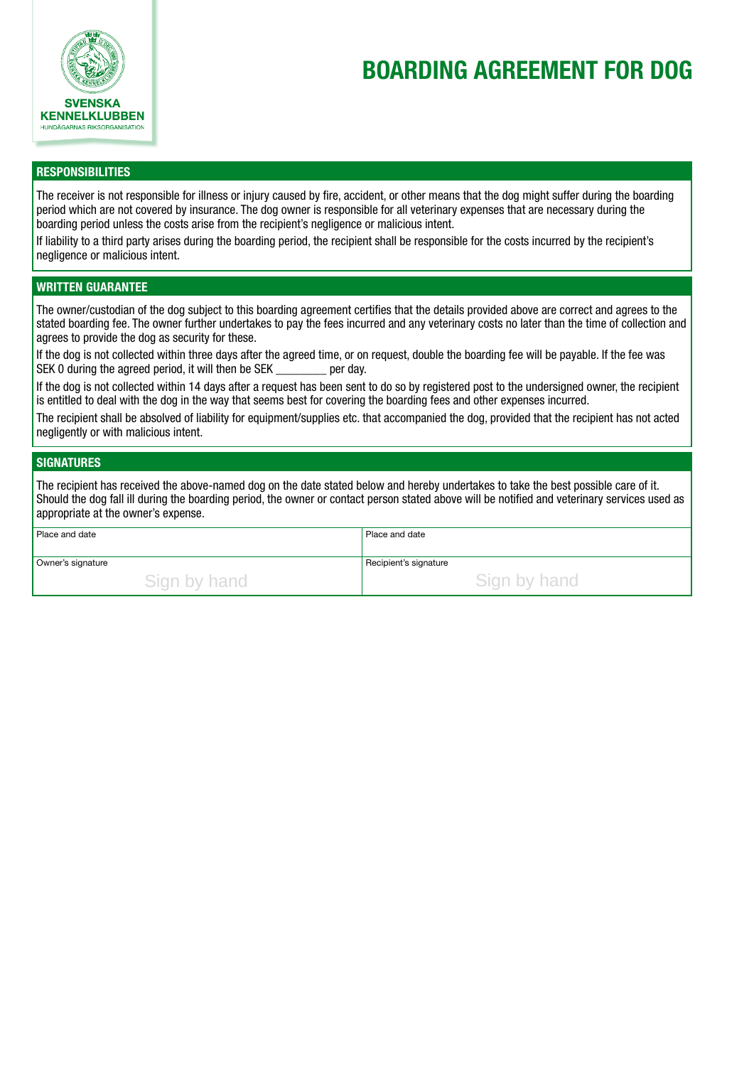

# BOARDING AGREEMENT FOR DOG

## **RESPONSIBILITIES**

The receiver is not responsible for illness or injury caused by fire, accident, or other means that the dog might suffer during the boarding period which are not covered by insurance. The dog owner is responsible for all veterinary expenses that are necessary during the boarding period unless the costs arise from the recipient's negligence or malicious intent.

If liability to a third party arises during the boarding period, the recipient shall be responsible for the costs incurred by the recipient's negligence or malicious intent.

## WRITTEN GUARANTEE

The owner/custodian of the dog subject to this boarding agreement certifies that the details provided above are correct and agrees to the stated boarding fee. The owner further undertakes to pay the fees incurred and any veterinary costs no later than the time of collection and agrees to provide the dog as security for these.

If the dog is not collected within three days after the agreed time, or on request, double the boarding fee will be payable. If the fee was SEK 0 during the agreed period, it will then be SEK per day.

If the dog is not collected within 14 days after a request has been sent to do so by registered post to the undersigned owner, the recipient is entitled to deal with the dog in the way that seems best for covering the boarding fees and other expenses incurred.

The recipient shall be absolved of liability for equipment/supplies etc. that accompanied the dog, provided that the recipient has not acted negligently or with malicious intent.

### **SIGNATURES**

The recipient has received the above-named dog on the date stated below and hereby undertakes to take the best possible care of it. Should the dog fall ill during the boarding period, the owner or contact person stated above will be notified and veterinary services used as appropriate at the owner's expense.

| <b>Place and date</b> | Place and date        |
|-----------------------|-----------------------|
| Owner's signature     | Recipient's signature |
| Sign by hand          | Sign by hand          |